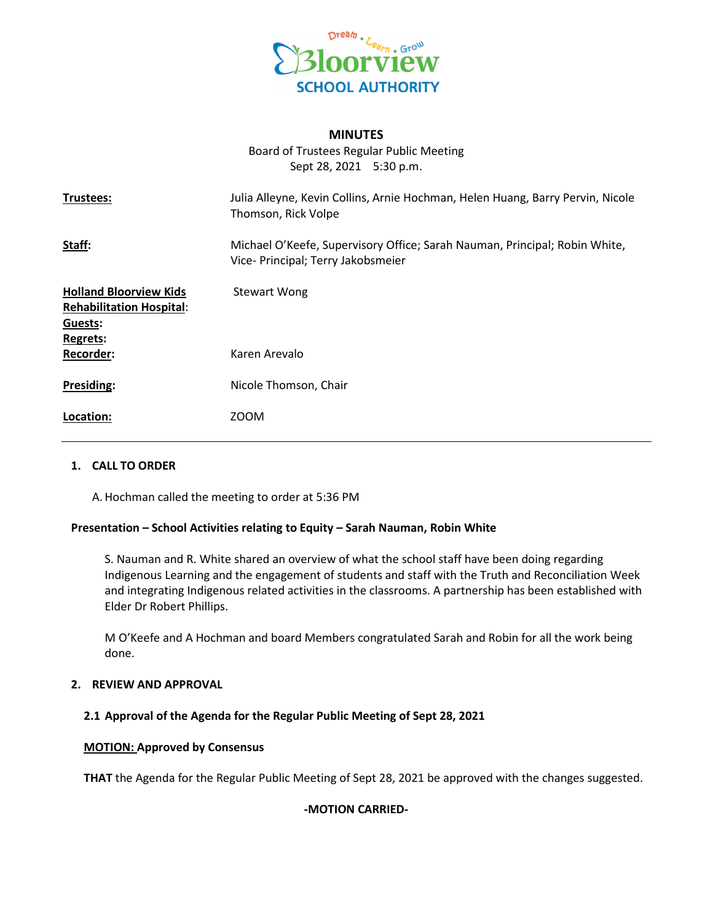

## **MINUTES**

Board of Trustees Regular Public Meeting Sept 28, 2021 5:30 p.m.

| Trustees:                                                        | Julia Alleyne, Kevin Collins, Arnie Hochman, Helen Huang, Barry Pervin, Nicole<br>Thomson, Rick Volpe            |
|------------------------------------------------------------------|------------------------------------------------------------------------------------------------------------------|
| Staff:                                                           | Michael O'Keefe, Supervisory Office; Sarah Nauman, Principal; Robin White,<br>Vice- Principal; Terry Jakobsmeier |
| <b>Holland Bloorview Kids</b><br><b>Rehabilitation Hospital:</b> | <b>Stewart Wong</b>                                                                                              |
| Guests:<br>Regrets:                                              |                                                                                                                  |
| <b>Recorder:</b>                                                 | Karen Arevalo                                                                                                    |
| <b>Presiding:</b>                                                | Nicole Thomson, Chair                                                                                            |
| Location:                                                        | <b>ZOOM</b>                                                                                                      |

### **1. CALL TO ORDER**

A. Hochman called the meeting to order at 5:36 PM

### **Presentation – School Activities relating to Equity – Sarah Nauman, Robin White**

S. Nauman and R. White shared an overview of what the school staff have been doing regarding Indigenous Learning and the engagement of students and staff with the Truth and Reconciliation Week and integrating Indigenous related activities in the classrooms. A partnership has been established with Elder Dr Robert Phillips.

M O'Keefe and A Hochman and board Members congratulated Sarah and Robin for all the work being done.

# **2. REVIEW AND APPROVAL**

### **2.1 Approval of the Agenda for the Regular Public Meeting of Sept 28, 2021**

### **MOTION: Approved by Consensus**

**THAT** the Agenda for the Regular Public Meeting of Sept 28, 2021 be approved with the changes suggested.

# **-MOTION CARRIED-**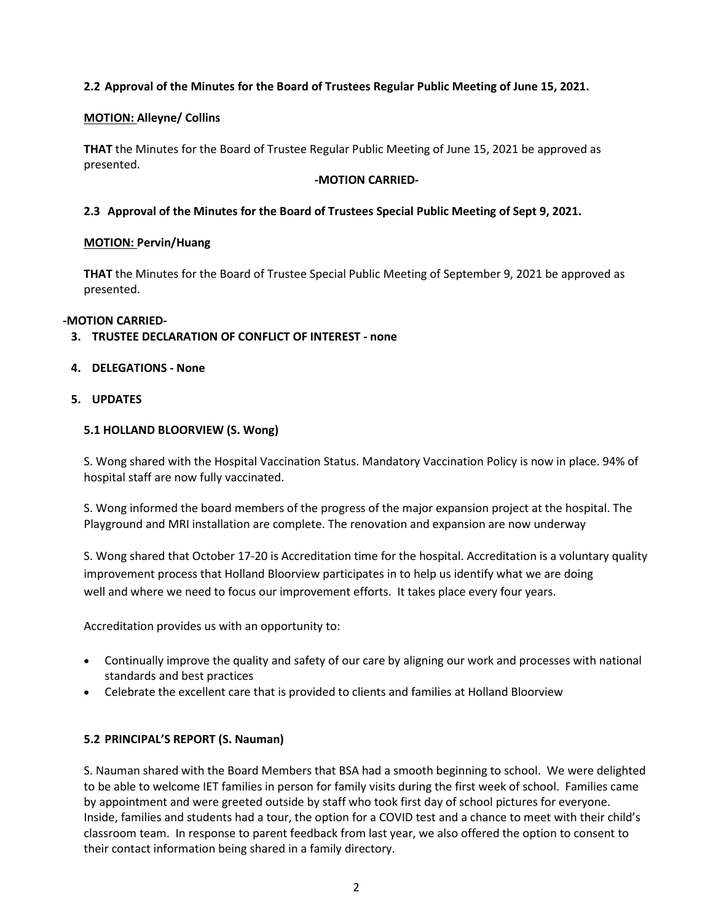# **2.2 Approval of the Minutes for the Board of Trustees Regular Public Meeting of June 15, 2021.**

# **MOTION: Alleyne/ Collins**

**THAT** the Minutes for the Board of Trustee Regular Public Meeting of June 15, 2021 be approved as presented.

### **-MOTION CARRIED-**

# **2.3 Approval of the Minutes for the Board of Trustees Special Public Meeting of Sept 9, 2021.**

# **MOTION: Pervin/Huang**

**THAT** the Minutes for the Board of Trustee Special Public Meeting of September 9, 2021 be approved as presented.

# **-MOTION CARRIED-**

# **3. TRUSTEE DECLARATION OF CONFLICT OF INTEREST - none**

# **4. DELEGATIONS - None**

## **5. UPDATES**

# **5.1 HOLLAND BLOORVIEW (S. Wong)**

S. Wong shared with the Hospital Vaccination Status. Mandatory Vaccination Policy is now in place. 94% of hospital staff are now fully vaccinated.

S. Wong informed the board members of the progress of the major expansion project at the hospital. The Playground and MRI installation are complete. The renovation and expansion are now underway

S. Wong shared that October 17-20 is Accreditation time for the hospital. Accreditation is a voluntary quality improvement process that Holland Bloorview participates in to help us identify what we are doing well and where we need to focus our improvement efforts. It takes place every four years.

Accreditation provides us with an opportunity to:

- Continually improve the quality and safety of our care by aligning our work and processes with national standards and best practices
- Celebrate the excellent care that is provided to clients and families at Holland Bloorview

# **5.2 PRINCIPAL'S REPORT (S. Nauman)**

S. Nauman shared with the Board Members that BSA had a smooth beginning to school. We were delighted to be able to welcome IET families in person for family visits during the first week of school. Families came by appointment and were greeted outside by staff who took first day of school pictures for everyone. Inside, families and students had a tour, the option for a COVID test and a chance to meet with their child's classroom team. In response to parent feedback from last year, we also offered the option to consent to their contact information being shared in a family directory.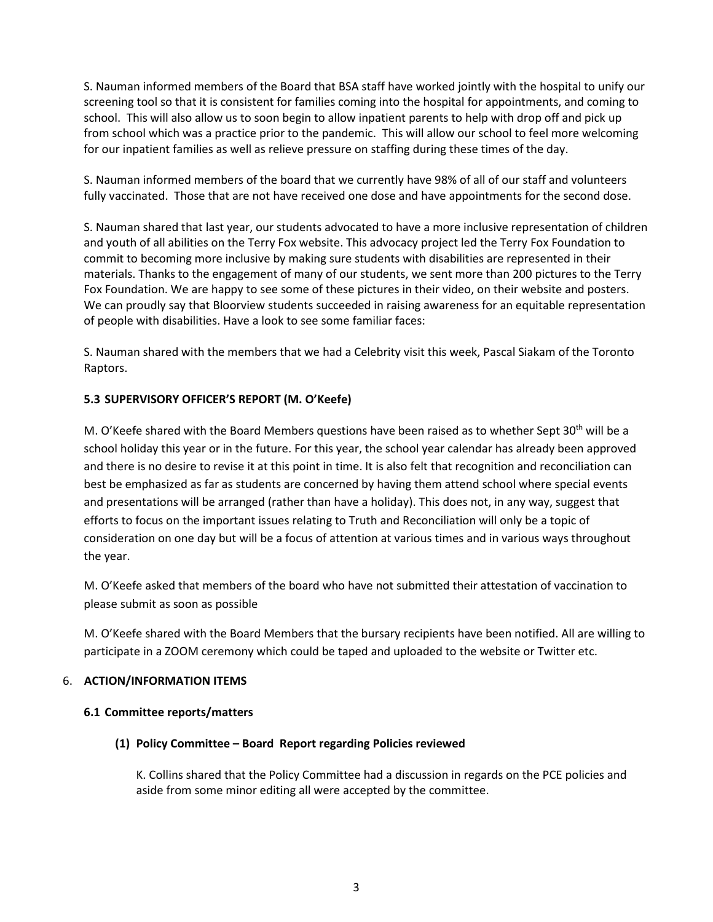S. Nauman informed members of the Board that BSA staff have worked jointly with the hospital to unify our screening tool so that it is consistent for families coming into the hospital for appointments, and coming to school. This will also allow us to soon begin to allow inpatient parents to help with drop off and pick up from school which was a practice prior to the pandemic. This will allow our school to feel more welcoming for our inpatient families as well as relieve pressure on staffing during these times of the day.

S. Nauman informed members of the board that we currently have 98% of all of our staff and volunteers fully vaccinated. Those that are not have received one dose and have appointments for the second dose.

S. Nauman shared that last year, our students advocated to have a more inclusive representation of children and youth of all abilities on the Terry Fox website. This advocacy project led the Terry Fox Foundation to commit to becoming more inclusive by making sure students with disabilities are represented in their materials. Thanks to the engagement of many of our students, we sent more than 200 pictures to the Terry Fox Foundation. We are happy to see some of these pictures in their video, on their website and posters. We can proudly say that Bloorview students succeeded in raising awareness for an equitable representation of people with disabilities. Have a look to see some familiar faces:

S. Nauman shared with the members that we had a Celebrity visit this week, Pascal Siakam of the Toronto Raptors.

# **5.3 SUPERVISORY OFFICER'S REPORT (M. O'Keefe)**

M. O'Keefe shared with the Board Members questions have been raised as to whether Sept 30<sup>th</sup> will be a school holiday this year or in the future. For this year, the school year calendar has already been approved and there is no desire to revise it at this point in time. It is also felt that recognition and reconciliation can best be emphasized as far as students are concerned by having them attend school where special events and presentations will be arranged (rather than have a holiday). This does not, in any way, suggest that efforts to focus on the important issues relating to Truth and Reconciliation will only be a topic of consideration on one day but will be a focus of attention at various times and in various ways throughout the year.

M. O'Keefe asked that members of the board who have not submitted their attestation of vaccination to please submit as soon as possible

M. O'Keefe shared with the Board Members that the bursary recipients have been notified. All are willing to participate in a ZOOM ceremony which could be taped and uploaded to the website or Twitter etc.

# 6. **ACTION/INFORMATION ITEMS**

# **6.1 Committee reports/matters**

# **(1) Policy Committee – Board Report regarding Policies reviewed**

K. Collins shared that the Policy Committee had a discussion in regards on the PCE policies and aside from some minor editing all were accepted by the committee.